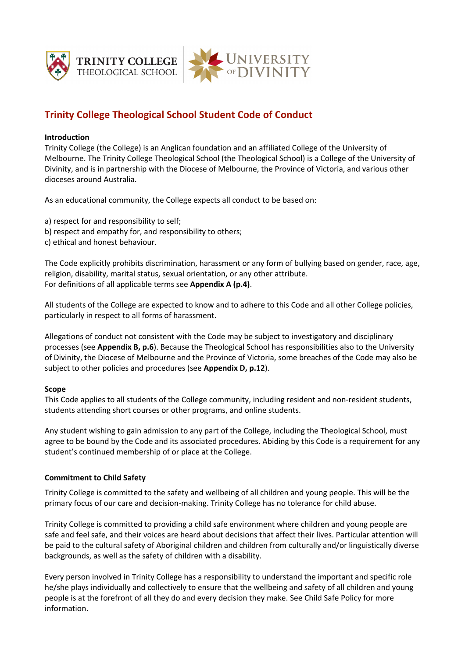

# **Trinity College Theological School Student Code of Conduct**

### **Introduction**

Trinity College (the College) is an Anglican foundation and an affiliated College of the University of Melbourne. The Trinity College Theological School (the Theological School) is a College of the University of Divinity, and is in partnership with the Diocese of Melbourne, the Province of Victoria, and various other dioceses around Australia.

As an educational community, the College expects all conduct to be based on:

- a) respect for and responsibility to self;
- b) respect and empathy for, and responsibility to others;
- c) ethical and honest behaviour.

The Code explicitly prohibits discrimination, harassment or any form of bullying based on gender, race, age, religion, disability, marital status, sexual orientation, or any other attribute. For definitions of all applicable terms see **Appendix A (p.4)**.

All students of the College are expected to know and to adhere to this Code and all other College policies, particularly in respect to all forms of harassment.

Allegations of conduct not consistent with the Code may be subject to investigatory and disciplinary processes (see **Appendix B, p.6**). Because the Theological School has responsibilities also to the University of Divinity, the Diocese of Melbourne and the Province of Victoria, some breaches of the Code may also be subject to other policies and procedures (see **Appendix D, p.12**).

#### **Scope**

This Code applies to all students of the College community, including resident and non-resident students, students attending short courses or other programs, and online students.

Any student wishing to gain admission to any part of the College, including the Theological School, must agree to be bound by the Code and its associated procedures. Abiding by this Code is a requirement for any student's continued membership of or place at the College.

# **Commitment to Child Safety**

Trinity College is committed to the safety and wellbeing of all children and young people. This will be the primary focus of our care and decision-making. Trinity College has no tolerance for child abuse.

Trinity College is committed to providing a child safe environment where children and young people are safe and feel safe, and their voices are heard about decisions that affect their lives. Particular attention will be paid to the cultural safety of Aboriginal children and children from culturally and/or linguistically diverse backgrounds, as well as the safety of children with a disability.

Every person involved in Trinity College has a responsibility to understand the important and specific role he/she plays individually and collectively to ensure that the wellbeing and safety of all children and young people is at the forefront of all they do and every decision they make. See Child Safe Policy for more information.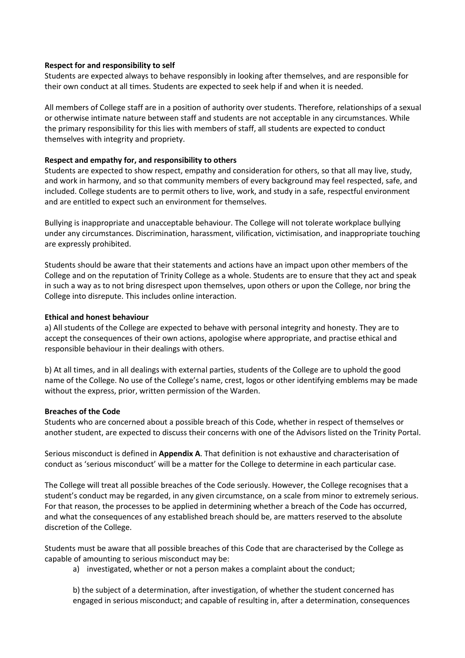#### **Respect for and responsibility to self**

Students are expected always to behave responsibly in looking after themselves, and are responsible for their own conduct at all times. Students are expected to seek help if and when it is needed.

All members of College staff are in a position of authority over students. Therefore, relationships of a sexual or otherwise intimate nature between staff and students are not acceptable in any circumstances. While the primary responsibility for this lies with members of staff, all students are expected to conduct themselves with integrity and propriety.

#### **Respect and empathy for, and responsibility to others**

Students are expected to show respect, empathy and consideration for others, so that all may live, study, and work in harmony, and so that community members of every background may feel respected, safe, and included. College students are to permit others to live, work, and study in a safe, respectful environment and are entitled to expect such an environment for themselves.

Bullying is inappropriate and unacceptable behaviour. The College will not tolerate workplace bullying under any circumstances. Discrimination, harassment, vilification, victimisation, and inappropriate touching are expressly prohibited.

Students should be aware that their statements and actions have an impact upon other members of the College and on the reputation of Trinity College as a whole. Students are to ensure that they act and speak in such a way as to not bring disrespect upon themselves, upon others or upon the College, nor bring the College into disrepute. This includes online interaction.

#### **Ethical and honest behaviour**

a) All students of the College are expected to behave with personal integrity and honesty. They are to accept the consequences of their own actions, apologise where appropriate, and practise ethical and responsible behaviour in their dealings with others.

b) At all times, and in all dealings with external parties, students of the College are to uphold the good name of the College. No use of the College's name, crest, logos or other identifying emblems may be made without the express, prior, written permission of the Warden.

#### **Breaches of the Code**

Students who are concerned about a possible breach of this Code, whether in respect of themselves or another student, are expected to discuss their concerns with one of the Advisors listed on the Trinity Portal.

Serious misconduct is defined in **Appendix A**. That definition is not exhaustive and characterisation of conduct as 'serious misconduct' will be a matter for the College to determine in each particular case.

The College will treat all possible breaches of the Code seriously. However, the College recognises that a student's conduct may be regarded, in any given circumstance, on a scale from minor to extremely serious. For that reason, the processes to be applied in determining whether a breach of the Code has occurred, and what the consequences of any established breach should be, are matters reserved to the absolute discretion of the College.

Students must be aware that all possible breaches of this Code that are characterised by the College as capable of amounting to serious misconduct may be:

a) investigated, whether or not a person makes a complaint about the conduct;

b) the subject of a determination, after investigation, of whether the student concerned has engaged in serious misconduct; and capable of resulting in, after a determination, consequences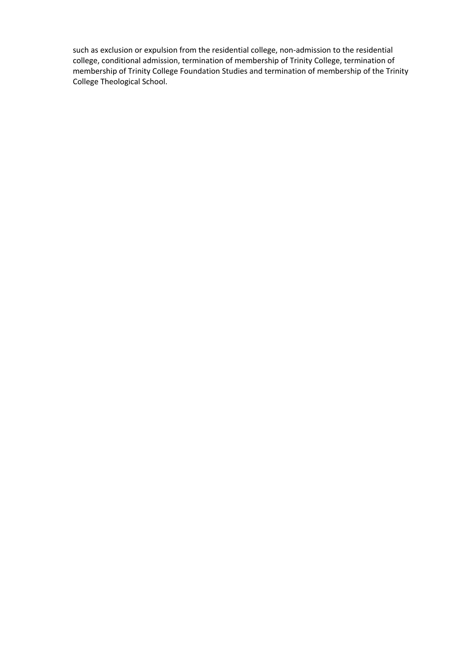such as exclusion or expulsion from the residential college, non-admission to the residential college, conditional admission, termination of membership of Trinity College, termination of membership of Trinity College Foundation Studies and termination of membership of the Trinity College Theological School.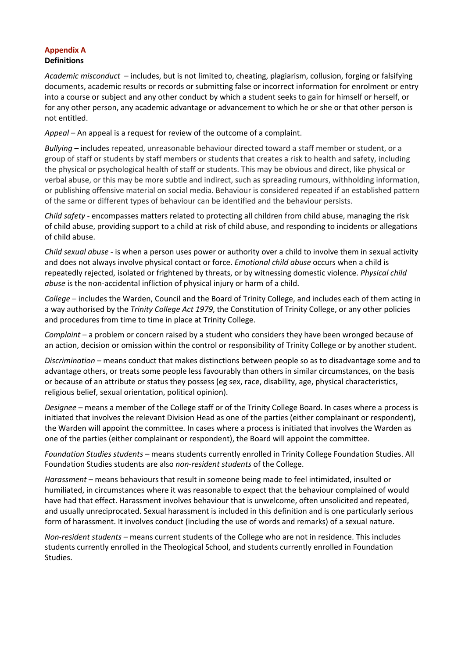# **Appendix A Definitions**

*Academic misconduct* – includes, but is not limited to, cheating, plagiarism, collusion, forging or falsifying documents, academic results or records or submitting false or incorrect information for enrolment or entry into a course or subject and any other conduct by which a student seeks to gain for himself or herself, or for any other person, any academic advantage or advancement to which he or she or that other person is not entitled.

*Appeal* – An appeal is a request for review of the outcome of a complaint.

*Bullying* – includes repeated, unreasonable behaviour directed toward a staff member or student, or a group of staff or students by staff members or students that creates a risk to health and safety, including the physical or psychological health of staff or students. This may be obvious and direct, like physical or verbal abuse, or this may be more subtle and indirect, such as spreading rumours, withholding information, or publishing offensive material on social media. Behaviour is considered repeated if an established pattern of the same or different types of behaviour can be identified and the behaviour persists.

*Child safety -* encompasses matters related to protecting all children from child abuse, managing the risk of child abuse, providing support to a child at risk of child abuse, and responding to incidents or allegations of child abuse.

*Child sexual abuse* - is when a person uses power or authority over a child to involve them in sexual activity and does not always involve physical contact or force. *Emotional child abuse* occurs when a child is repeatedly rejected, isolated or frightened by threats, or by witnessing domestic violence. *Physical child abuse* is the non-accidental infliction of physical injury or harm of a child.

*College* – includes the Warden, Council and the Board of Trinity College, and includes each of them acting in a way authorised by the *Trinity College Act 1979*, the Constitution of Trinity College, or any other policies and procedures from time to time in place at Trinity College.

*Complaint* – a problem or concern raised by a student who considers they have been wronged because of an action, decision or omission within the control or responsibility of Trinity College or by another student.

*Discrimination* – means conduct that makes distinctions between people so as to disadvantage some and to advantage others, or treats some people less favourably than others in similar circumstances, on the basis or because of an attribute or status they possess (eg sex, race, disability, age, physical characteristics, religious belief, sexual orientation, political opinion).

*Designee* – means a member of the College staff or of the Trinity College Board. In cases where a process is initiated that involves the relevant Division Head as one of the parties (either complainant or respondent), the Warden will appoint the committee. In cases where a process is initiated that involves the Warden as one of the parties (either complainant or respondent), the Board will appoint the committee.

*Foundation Studies students* – means students currently enrolled in Trinity College Foundation Studies. All Foundation Studies students are also *non-resident students* of the College.

*Harassment* – means behaviours that result in someone being made to feel intimidated, insulted or humiliated, in circumstances where it was reasonable to expect that the behaviour complained of would have had that effect. Harassment involves behaviour that is unwelcome, often unsolicited and repeated, and usually unreciprocated. Sexual harassment is included in this definition and is one particularly serious form of harassment. It involves conduct (including the use of words and remarks) of a sexual nature.

*Non-resident students* – means current students of the College who are not in residence. This includes students currently enrolled in the Theological School, and students currently enrolled in Foundation Studies.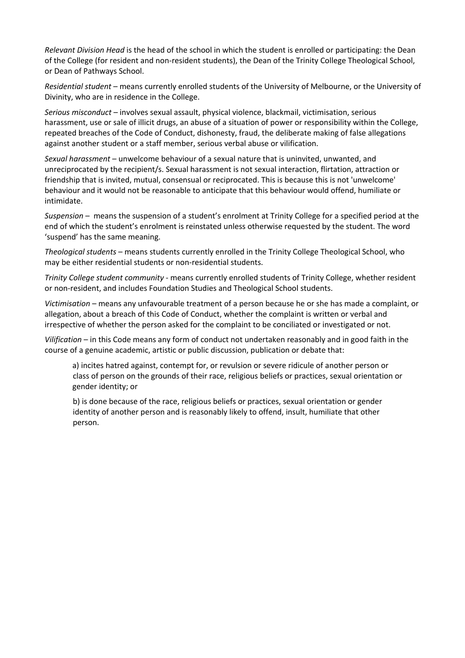*Relevant Division Head* is the head of the school in which the student is enrolled or participating: the Dean of the College (for resident and non-resident students), the Dean of the Trinity College Theological School, or Dean of Pathways School.

*Residential student* – means currently enrolled students of the University of Melbourne, or the University of Divinity, who are in residence in the College.

*Serious misconduct* – involves sexual assault, physical violence, blackmail, victimisation, serious harassment, use or sale of illicit drugs, an abuse of a situation of power or responsibility within the College, repeated breaches of the Code of Conduct, dishonesty, fraud, the deliberate making of false allegations against another student or a staff member, serious verbal abuse or vilification.

*Sexual harassment* – unwelcome behaviour of a sexual nature that is uninvited, unwanted, and unreciprocated by the recipient/s. Sexual harassment is not sexual interaction, flirtation, attraction or friendship that is invited, mutual, consensual or reciprocated. This is because this is not 'unwelcome' behaviour and it would not be reasonable to anticipate that this behaviour would offend, humiliate or intimidate.

*Suspension* – means the suspension of a student's enrolment at Trinity College for a specified period at the end of which the student's enrolment is reinstated unless otherwise requested by the student. The word 'suspend' has the same meaning.

*Theological students* – means students currently enrolled in the Trinity College Theological School, who may be either residential students or non-residential students.

*Trinity College student community* - means currently enrolled students of Trinity College, whether resident or non-resident, and includes Foundation Studies and Theological School students.

*Victimisation* – means any unfavourable treatment of a person because he or she has made a complaint, or allegation, about a breach of this Code of Conduct, whether the complaint is written or verbal and irrespective of whether the person asked for the complaint to be conciliated or investigated or not.

*Vilification* – in this Code means any form of conduct not undertaken reasonably and in good faith in the course of a genuine academic, artistic or public discussion, publication or debate that:

a) incites hatred against, contempt for, or revulsion or severe ridicule of another person or class of person on the grounds of their race, religious beliefs or practices, sexual orientation or gender identity; or

b) is done because of the race, religious beliefs or practices, sexual orientation or gender identity of another person and is reasonably likely to offend, insult, humiliate that other person.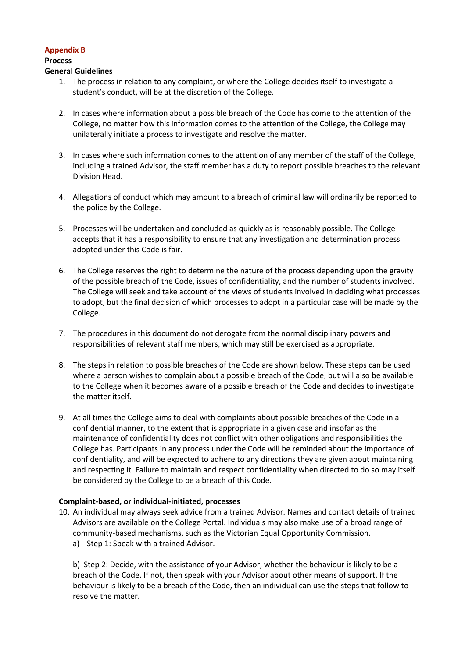## **Appendix B**

# **Process**

#### **General Guidelines**

- 1. The process in relation to any complaint, or where the College decides itself to investigate a student's conduct, will be at the discretion of the College.
- 2. In cases where information about a possible breach of the Code has come to the attention of the College, no matter how this information comes to the attention of the College, the College may unilaterally initiate a process to investigate and resolve the matter.
- 3. In cases where such information comes to the attention of any member of the staff of the College, including a trained Advisor, the staff member has a duty to report possible breaches to the relevant Division Head.
- 4. Allegations of conduct which may amount to a breach of criminal law will ordinarily be reported to the police by the College.
- 5. Processes will be undertaken and concluded as quickly as is reasonably possible. The College accepts that it has a responsibility to ensure that any investigation and determination process adopted under this Code is fair.
- 6. The College reserves the right to determine the nature of the process depending upon the gravity of the possible breach of the Code, issues of confidentiality, and the number of students involved. The College will seek and take account of the views of students involved in deciding what processes to adopt, but the final decision of which processes to adopt in a particular case will be made by the College.
- 7. The procedures in this document do not derogate from the normal disciplinary powers and responsibilities of relevant staff members, which may still be exercised as appropriate.
- 8. The steps in relation to possible breaches of the Code are shown below. These steps can be used where a person wishes to complain about a possible breach of the Code, but will also be available to the College when it becomes aware of a possible breach of the Code and decides to investigate the matter itself.
- 9. At all times the College aims to deal with complaints about possible breaches of the Code in a confidential manner, to the extent that is appropriate in a given case and insofar as the maintenance of confidentiality does not conflict with other obligations and responsibilities the College has. Participants in any process under the Code will be reminded about the importance of confidentiality, and will be expected to adhere to any directions they are given about maintaining and respecting it. Failure to maintain and respect confidentiality when directed to do so may itself be considered by the College to be a breach of this Code.

# **Complaint-based, or individual-initiated, processes**

- 10. An individual may always seek advice from a trained Advisor. Names and contact details of trained Advisors are available on the College Portal. Individuals may also make use of a broad range of community-based mechanisms, such as the Victorian Equal Opportunity Commission.
	- a) Step 1: Speak with a trained Advisor.

b) Step 2: Decide, with the assistance of your Advisor, whether the behaviour is likely to be a breach of the Code. If not, then speak with your Advisor about other means of support. If the behaviour is likely to be a breach of the Code, then an individual can use the steps that follow to resolve the matter.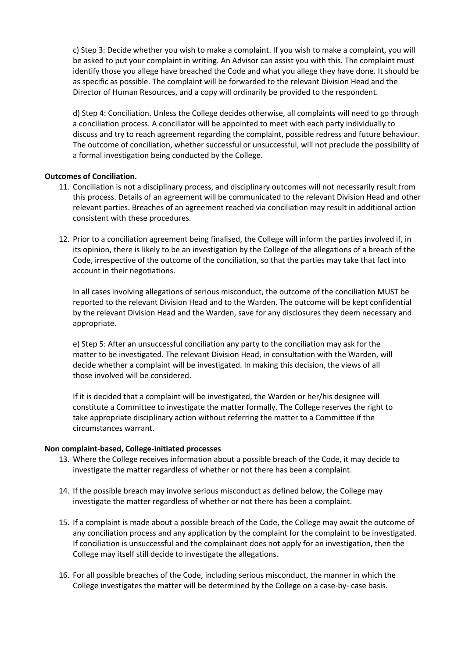c) Step 3: Decide whether you wish to make a complaint. If you wish to make a complaint, you will be asked to put your complaint in writing. An Advisor can assist you with this. The complaint must identify those you allege have breached the Code and what you allege they have done. It should be as specific as possible. The complaint will be forwarded to the relevant Division Head and the Director of Human Resources, and a copy will ordinarily be provided to the respondent.

d) Step 4: Conciliation. Unless the College decides otherwise, all complaints will need to go through a conciliation process. A conciliator will be appointed to meet with each party individually to discuss and try to reach agreement regarding the complaint, possible redress and future behaviour. The outcome of conciliation, whether successful or unsuccessful, will not preclude the possibility of a formal investigation being conducted by the College.

#### **Outcomes of Conciliation.**

- 11. Conciliation is not a disciplinary process, and disciplinary outcomes will not necessarily result from this process. Details of an agreement will be communicated to the relevant Division Head and other relevant parties. Breaches of an agreement reached via conciliation may result in additional action consistent with these procedures.
- 12. Prior to a conciliation agreement being finalised, the College will inform the parties involved if, in its opinion, there is likely to be an investigation by the College of the allegations of a breach of the Code, irrespective of the outcome of the conciliation, so that the parties may take that fact into account in their negotiations.

In all cases involving allegations of serious misconduct, the outcome of the conciliation MUST be reported to the relevant Division Head and to the Warden. The outcome will be kept confidential by the relevant Division Head and the Warden, save for any disclosures they deem necessary and appropriate.

e) Step 5: After an unsuccessful conciliation any party to the conciliation may ask for the matter to be investigated. The relevant Division Head, in consultation with the Warden, will decide whether a complaint will be investigated. In making this decision, the views of all those involved will be considered.

If it is decided that a complaint will be investigated, the Warden or her/his designee will constitute a Committee to investigate the matter formally. The College reserves the right to take appropriate disciplinary action without referring the matter to a Committee if the circumstances warrant.

#### **Non complaint-based, College-initiated processes**

- 13. Where the College receives information about a possible breach of the Code, it may decide to investigate the matter regardless of whether or not there has been a complaint.
- 14. If the possible breach may involve serious misconduct as defined below, the College may investigate the matter regardless of whether or not there has been a complaint.
- 15. If a complaint is made about a possible breach of the Code, the College may await the outcome of any conciliation process and any application by the complaint for the complaint to be investigated. If conciliation is unsuccessful and the complainant does not apply for an investigation, then the College may itself still decide to investigate the allegations.
- 16. For all possible breaches of the Code, including serious misconduct, the manner in which the College investigates the matter will be determined by the College on a case-by- case basis.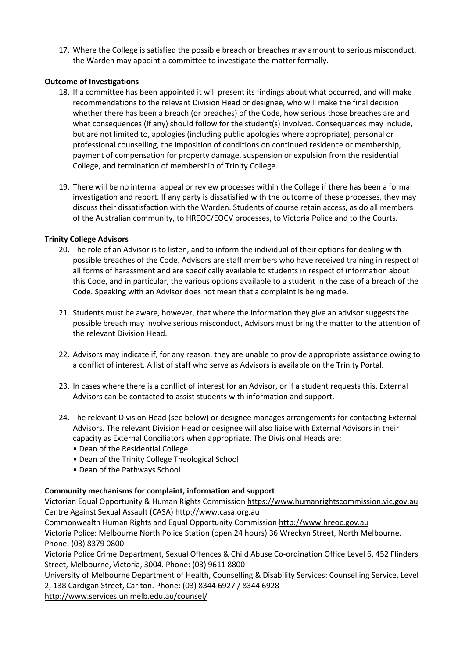17. Where the College is satisfied the possible breach or breaches may amount to serious misconduct, the Warden may appoint a committee to investigate the matter formally.

## **Outcome of Investigations**

- 18. If a committee has been appointed it will present its findings about what occurred, and will make recommendations to the relevant Division Head or designee, who will make the final decision whether there has been a breach (or breaches) of the Code, how serious those breaches are and what consequences (if any) should follow for the student(s) involved. Consequences may include, but are not limited to, apologies (including public apologies where appropriate), personal or professional counselling, the imposition of conditions on continued residence or membership, payment of compensation for property damage, suspension or expulsion from the residential College, and termination of membership of Trinity College.
- 19. There will be no internal appeal or review processes within the College if there has been a formal investigation and report. If any party is dissatisfied with the outcome of these processes, they may discuss their dissatisfaction with the Warden. Students of course retain access, as do all members of the Australian community, to HREOC/EOCV processes, to Victoria Police and to the Courts.

## **Trinity College Advisors**

- 20. The role of an Advisor is to listen, and to inform the individual of their options for dealing with possible breaches of the Code. Advisors are staff members who have received training in respect of all forms of harassment and are specifically available to students in respect of information about this Code, and in particular, the various options available to a student in the case of a breach of the Code. Speaking with an Advisor does not mean that a complaint is being made.
- 21. Students must be aware, however, that where the information they give an advisor suggests the possible breach may involve serious misconduct, Advisors must bring the matter to the attention of the relevant Division Head.
- 22. Advisors may indicate if, for any reason, they are unable to provide appropriate assistance owing to a conflict of interest. A list of staff who serve as Advisors is available on the Trinity Portal.
- 23. In cases where there is a conflict of interest for an Advisor, or if a student requests this, External Advisors can be contacted to assist students with information and support.
- 24. The relevant Division Head (see below) or designee manages arrangements for contacting External Advisors. The relevant Division Head or designee will also liaise with External Advisors in their capacity as External Conciliators when appropriate. The Divisional Heads are:
	- Dean of the Residential College
	- Dean of the Trinity College Theological School
	- Dean of the Pathways School

# **Community mechanisms for complaint, information and support**

Victorian Equal Opportunity & Human Rights Commission https://www.humanrightscommission.vic.gov.au Centre Against Sexual Assault (CASA) http://www.casa.org.au

Commonwealth Human Rights and Equal Opportunity Commission http://www.hreoc.gov.au

Victoria Police: Melbourne North Police Station (open 24 hours) 36 Wreckyn Street, North Melbourne. Phone: (03) 8379 0800

Victoria Police Crime Department, Sexual Offences & Child Abuse Co-ordination Office Level 6, 452 Flinders Street, Melbourne, Victoria, 3004. Phone: (03) 9611 8800

University of Melbourne Department of Health, Counselling & Disability Services: Counselling Service, Level 2, 138 Cardigan Street, Carlton. Phone: (03) 8344 6927 / 8344 6928

http://www.services.unimelb.edu.au/counsel/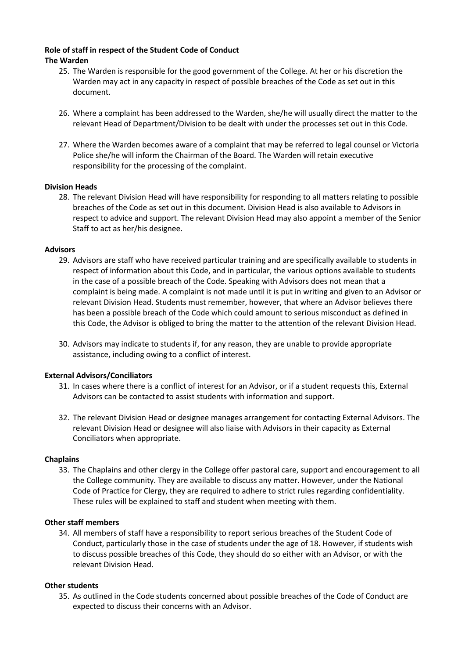# **Role of staff in respect of the Student Code of Conduct The Warden**

- 25. The Warden is responsible for the good government of the College. At her or his discretion the Warden may act in any capacity in respect of possible breaches of the Code as set out in this document.
- 26. Where a complaint has been addressed to the Warden, she/he will usually direct the matter to the relevant Head of Department/Division to be dealt with under the processes set out in this Code.
- 27. Where the Warden becomes aware of a complaint that may be referred to legal counsel or Victoria Police she/he will inform the Chairman of the Board. The Warden will retain executive responsibility for the processing of the complaint.

#### **Division Heads**

28. The relevant Division Head will have responsibility for responding to all matters relating to possible breaches of the Code as set out in this document. Division Head is also available to Advisors in respect to advice and support. The relevant Division Head may also appoint a member of the Senior Staff to act as her/his designee.

#### **Advisors**

- 29. Advisors are staff who have received particular training and are specifically available to students in respect of information about this Code, and in particular, the various options available to students in the case of a possible breach of the Code. Speaking with Advisors does not mean that a complaint is being made. A complaint is not made until it is put in writing and given to an Advisor or relevant Division Head. Students must remember, however, that where an Advisor believes there has been a possible breach of the Code which could amount to serious misconduct as defined in this Code, the Advisor is obliged to bring the matter to the attention of the relevant Division Head.
- 30. Advisors may indicate to students if, for any reason, they are unable to provide appropriate assistance, including owing to a conflict of interest.

#### **External Advisors/Conciliators**

- 31. In cases where there is a conflict of interest for an Advisor, or if a student requests this, External Advisors can be contacted to assist students with information and support.
- 32. The relevant Division Head or designee manages arrangement for contacting External Advisors. The relevant Division Head or designee will also liaise with Advisors in their capacity as External Conciliators when appropriate.

#### **Chaplains**

33. The Chaplains and other clergy in the College offer pastoral care, support and encouragement to all the College community. They are available to discuss any matter. However, under the National Code of Practice for Clergy, they are required to adhere to strict rules regarding confidentiality. These rules will be explained to staff and student when meeting with them.

#### **Other staff members**

34. All members of staff have a responsibility to report serious breaches of the Student Code of Conduct, particularly those in the case of students under the age of 18. However, if students wish to discuss possible breaches of this Code, they should do so either with an Advisor, or with the relevant Division Head.

#### **Other students**

35. As outlined in the Code students concerned about possible breaches of the Code of Conduct are expected to discuss their concerns with an Advisor.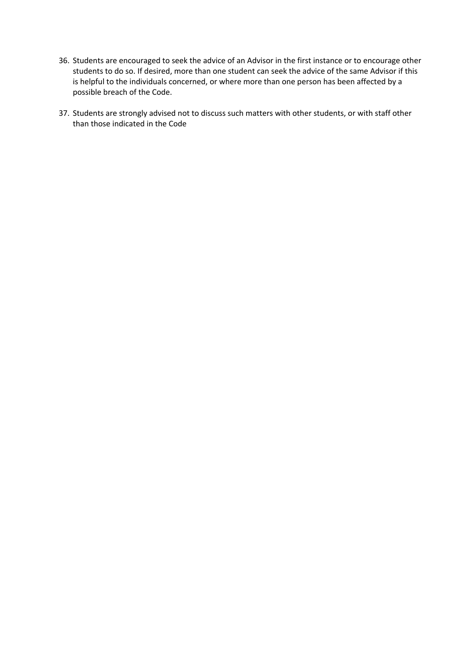- 36. Students are encouraged to seek the advice of an Advisor in the first instance or to encourage other students to do so. If desired, more than one student can seek the advice of the same Advisor if this is helpful to the individuals concerned, or where more than one person has been affected by a possible breach of the Code.
- 37. Students are strongly advised not to discuss such matters with other students, or with staff other than those indicated in the Code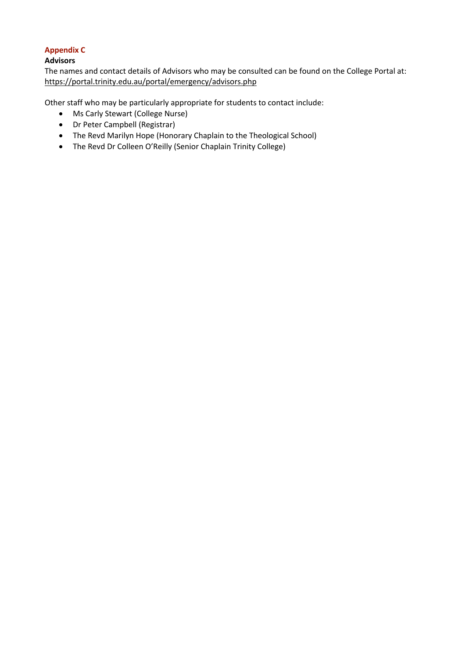# **Appendix C**

# **Advisors**

The names and contact details of Advisors who may be consulted can be found on the College Portal at: https://portal.trinity.edu.au/portal/emergency/advisors.php

Other staff who may be particularly appropriate for students to contact include:

- Ms Carly Stewart (College Nurse)
- Dr Peter Campbell (Registrar)
- The Revd Marilyn Hope (Honorary Chaplain to the Theological School)
- The Revd Dr Colleen O'Reilly (Senior Chaplain Trinity College)